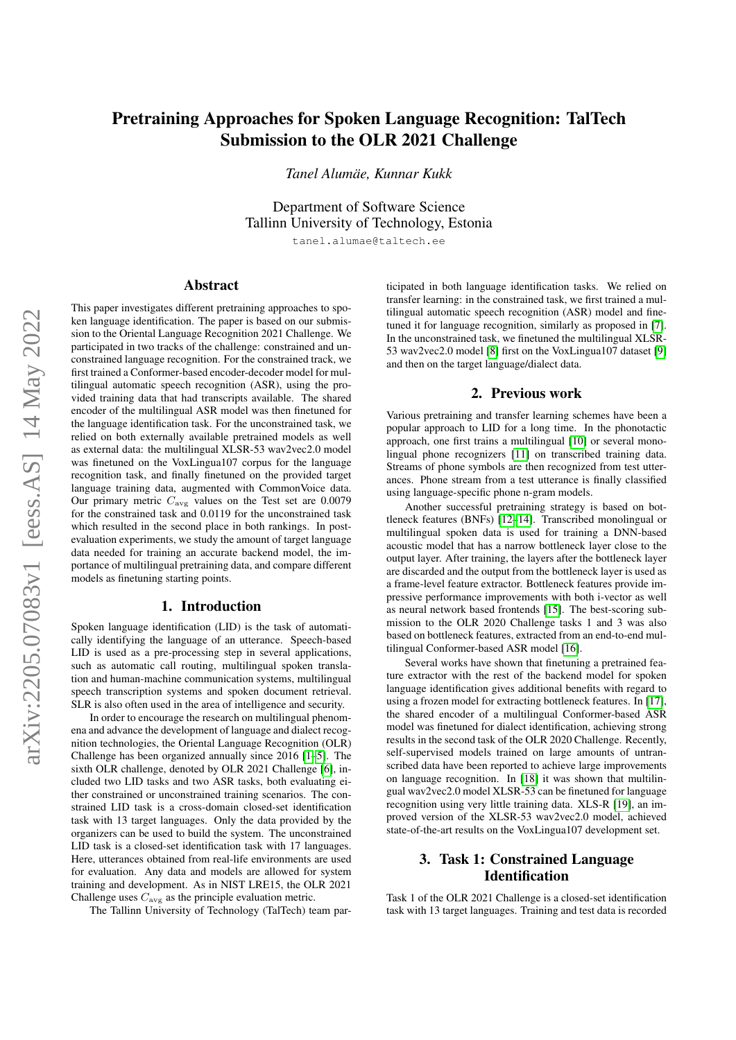# Pretraining Approaches for Spoken Language Recognition: TalTech Submission to the OLR 2021 Challenge

*Tanel Alumae, Kunnar Kukk ¨*

Department of Software Science Tallinn University of Technology, Estonia

tanel.alumae@taltech.ee

# Abstract

This paper investigates different pretraining approaches to spoken language identification. The paper is based on our submission to the Oriental Language Recognition 2021 Challenge. We participated in two tracks of the challenge: constrained and unconstrained language recognition. For the constrained track, we first trained a Conformer-based encoder-decoder model for multilingual automatic speech recognition (ASR), using the provided training data that had transcripts available. The shared encoder of the multilingual ASR model was then finetuned for the language identification task. For the unconstrained task, we relied on both externally available pretrained models as well as external data: the multilingual XLSR-53 wav2vec2.0 model was finetuned on the VoxLingua107 corpus for the language recognition task, and finally finetuned on the provided target language training data, augmented with CommonVoice data. Our primary metric  $C_{\text{avg}}$  values on the Test set are 0.0079 for the constrained task and 0.0119 for the unconstrained task which resulted in the second place in both rankings. In postevaluation experiments, we study the amount of target language data needed for training an accurate backend model, the importance of multilingual pretraining data, and compare different models as finetuning starting points.

# 1. Introduction

Spoken language identification (LID) is the task of automatically identifying the language of an utterance. Speech-based LID is used as a pre-processing step in several applications, such as automatic call routing, multilingual spoken translation and human-machine communication systems, multilingual speech transcription systems and spoken document retrieval. SLR is also often used in the area of intelligence and security.

In order to encourage the research on multilingual phenomena and advance the development of language and dialect recognition technologies, the Oriental Language Recognition (OLR) Challenge has been organized annually since 2016 [\[1](#page-6-0)[–5\]](#page-6-1). The sixth OLR challenge, denoted by OLR 2021 Challenge [\[6\]](#page-6-2), included two LID tasks and two ASR tasks, both evaluating either constrained or unconstrained training scenarios. The constrained LID task is a cross-domain closed-set identification task with 13 target languages. Only the data provided by the organizers can be used to build the system. The unconstrained LID task is a closed-set identification task with 17 languages. Here, utterances obtained from real-life environments are used for evaluation. Any data and models are allowed for system training and development. As in NIST LRE15, the OLR 2021 Challenge uses  $C_{\text{avg}}$  as the principle evaluation metric.

The Tallinn University of Technology (TalTech) team par-

ticipated in both language identification tasks. We relied on transfer learning: in the constrained task, we first trained a multilingual automatic speech recognition (ASR) model and finetuned it for language recognition, similarly as proposed in [\[7\]](#page-6-3). In the unconstrained task, we finetuned the multilingual XLSR-53 wav2vec2.0 model [\[8\]](#page-6-4) first on the VoxLingua107 dataset [\[9\]](#page-6-5) and then on the target language/dialect data.

# 2. Previous work

Various pretraining and transfer learning schemes have been a popular approach to LID for a long time. In the phonotactic approach, one first trains a multilingual [\[10\]](#page-6-6) or several mono-lingual phone recognizers [\[11\]](#page-6-7) on transcribed training data. Streams of phone symbols are then recognized from test utterances. Phone stream from a test utterance is finally classified using language-specific phone n-gram models.

Another successful pretraining strategy is based on bottleneck features (BNFs) [\[12–](#page-6-8)[14\]](#page-6-9). Transcribed monolingual or multilingual spoken data is used for training a DNN-based acoustic model that has a narrow bottleneck layer close to the output layer. After training, the layers after the bottleneck layer are discarded and the output from the bottleneck layer is used as a frame-level feature extractor. Bottleneck features provide impressive performance improvements with both i-vector as well as neural network based frontends [\[15\]](#page-6-10). The best-scoring submission to the OLR 2020 Challenge tasks 1 and 3 was also based on bottleneck features, extracted from an end-to-end multilingual Conformer-based ASR model [\[16\]](#page-6-11).

Several works have shown that finetuning a pretrained feature extractor with the rest of the backend model for spoken language identification gives additional benefits with regard to using a frozen model for extracting bottleneck features. In [\[17\]](#page-6-12), the shared encoder of a multilingual Conformer-based ASR model was finetuned for dialect identification, achieving strong results in the second task of the OLR 2020 Challenge. Recently, self-supervised models trained on large amounts of untranscribed data have been reported to achieve large improvements on language recognition. In [\[18\]](#page-7-0) it was shown that multilingual wav2vec2.0 model XLSR-53 can be finetuned for language recognition using very little training data. XLS-R [\[19\]](#page-7-1), an improved version of the XLSR-53 wav2vec2.0 model, achieved state-of-the-art results on the VoxLingua107 development set.

# 3. Task 1: Constrained Language **Identification**

Task 1 of the OLR 2021 Challenge is a closed-set identification task with 13 target languages. Training and test data is recorded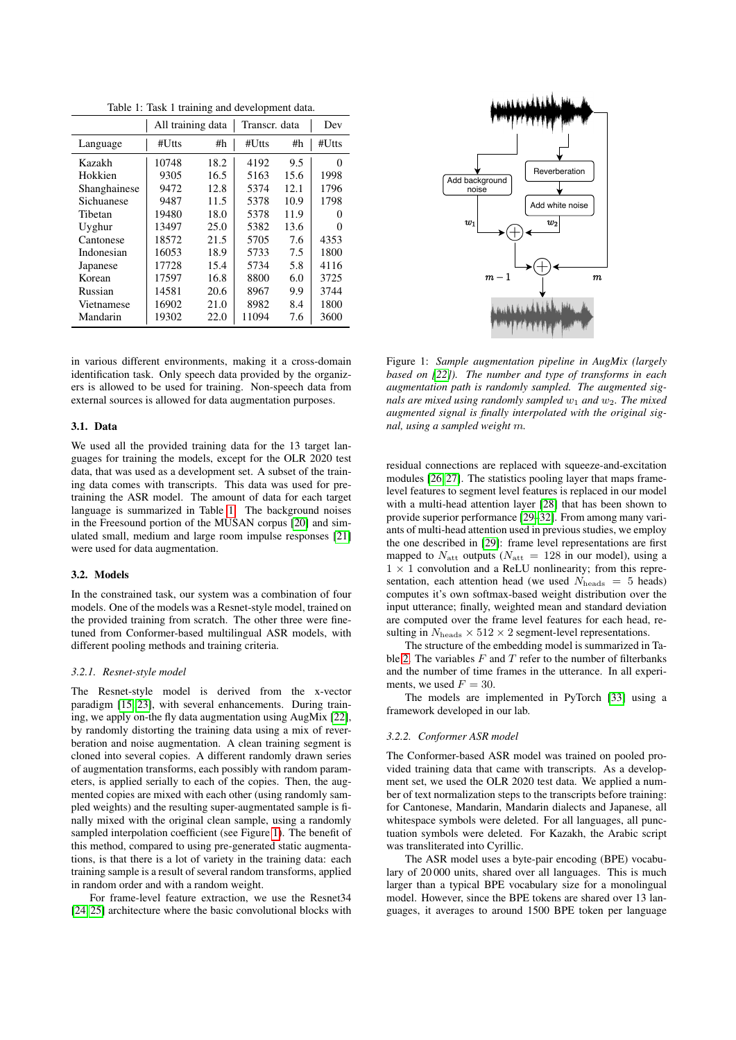<span id="page-1-0"></span>

| Table 1: Task 1 training and development data. |  |  |  |  |  |  |  |
|------------------------------------------------|--|--|--|--|--|--|--|
|------------------------------------------------|--|--|--|--|--|--|--|

|              | All training data |      | Transcr. data | Dev  |                   |
|--------------|-------------------|------|---------------|------|-------------------|
| Language     | #Utts             | #h   | #Utts         | #h   | $#U$ tts          |
| Kazakh       | 10748             | 18.2 | 4192          | 9.5  | 0                 |
| Hokkien      | 9305              | 16.5 | 5163          | 15.6 | 1998              |
| Shanghainese | 9472              | 12.8 | 5374          | 12.1 | 1796              |
| Sichuanese   | 9487              | 11.5 | 5378          | 10.9 | 1798              |
| Tibetan      | 19480             | 18.0 | 5378          | 11.9 | $\mathbf{\Omega}$ |
| Uyghur       | 13497             | 25.0 | 5382          | 13.6 | $\mathbf{\Omega}$ |
| Cantonese    | 18572             | 21.5 | 5705          | 7.6  | 4353              |
| Indonesian   | 16053             | 18.9 | 5733          | 7.5  | 1800              |
| Japanese     | 17728             | 15.4 | 5734          | 5.8  | 4116              |
| Korean       | 17597             | 16.8 | 8800          | 6.0  | 3725              |
| Russian      | 14581             | 20.6 | 8967          | 9.9  | 3744              |
| Vietnamese   | 16902             | 21.0 | 8982          | 8.4  | 1800              |
| Mandarin     | 19302             | 22.0 | 11094         | 7.6  | 3600              |

in various different environments, making it a cross-domain identification task. Only speech data provided by the organizers is allowed to be used for training. Non-speech data from external sources is allowed for data augmentation purposes.

### 3.1. Data

We used all the provided training data for the 13 target languages for training the models, except for the OLR 2020 test data, that was used as a development set. A subset of the training data comes with transcripts. This data was used for pretraining the ASR model. The amount of data for each target language is summarized in Table [1.](#page-1-0) The background noises in the Freesound portion of the MUSAN corpus [\[20\]](#page-7-2) and simulated small, medium and large room impulse responses [\[21\]](#page-7-3) were used for data augmentation.

### 3.2. Models

In the constrained task, our system was a combination of four models. One of the models was a Resnet-style model, trained on the provided training from scratch. The other three were finetuned from Conformer-based multilingual ASR models, with different pooling methods and training criteria.

#### *3.2.1. Resnet-style model*

The Resnet-style model is derived from the x-vector paradigm [\[15,](#page-6-10) [23\]](#page-7-4), with several enhancements. During training, we apply on-the fly data augmentation using AugMix [\[22\]](#page-7-5), by randomly distorting the training data using a mix of reverberation and noise augmentation. A clean training segment is cloned into several copies. A different randomly drawn series of augmentation transforms, each possibly with random parameters, is applied serially to each of the copies. Then, the augmented copies are mixed with each other (using randomly sampled weights) and the resulting super-augmentated sample is finally mixed with the original clean sample, using a randomly sampled interpolation coefficient (see Figure [1\)](#page-1-1). The benefit of this method, compared to using pre-generated static augmentations, is that there is a lot of variety in the training data: each training sample is a result of several random transforms, applied in random order and with a random weight.

For frame-level feature extraction, we use the Resnet34 [\[24,](#page-7-6) [25\]](#page-7-7) architecture where the basic convolutional blocks with



<span id="page-1-1"></span>Figure 1: *Sample augmentation pipeline in AugMix (largely based on [\[22\]](#page-7-5)). The number and type of transforms in each augmentation path is randomly sampled. The augmented signals are mixed using randomly sampled*  $w_1$  *and*  $w_2$ *. The mixed augmented signal is finally interpolated with the original signal, using a sampled weight* m*.*

residual connections are replaced with squeeze-and-excitation modules [\[26,](#page-7-8) [27\]](#page-7-9). The statistics pooling layer that maps framelevel features to segment level features is replaced in our model with a multi-head attention layer [\[28\]](#page-7-10) that has been shown to provide superior performance [\[29–](#page-7-11)[32\]](#page-7-12). From among many variants of multi-head attention used in previous studies, we employ the one described in [\[29\]](#page-7-11): frame level representations are first mapped to  $N_{\text{att}}$  outputs ( $N_{\text{att}} = 128$  in our model), using a  $1 \times 1$  convolution and a ReLU nonlinearity; from this representation, each attention head (we used  $N_{\text{heads}} = 5$  heads) computes it's own softmax-based weight distribution over the input utterance; finally, weighted mean and standard deviation are computed over the frame level features for each head, resulting in  $N_{\rm heads} \times 512 \times 2$  segment-level representations.

The structure of the embedding model is summarized in Ta-ble [2.](#page-2-0) The variables  $F$  and  $T$  refer to the number of filterbanks and the number of time frames in the utterance. In all experiments, we used  $F = 30$ .

The models are implemented in PyTorch [\[33\]](#page-7-13) using a framework developed in our lab.

#### *3.2.2. Conformer ASR model*

The Conformer-based ASR model was trained on pooled provided training data that came with transcripts. As a development set, we used the OLR 2020 test data. We applied a number of text normalization steps to the transcripts before training: for Cantonese, Mandarin, Mandarin dialects and Japanese, all whitespace symbols were deleted. For all languages, all punctuation symbols were deleted. For Kazakh, the Arabic script was transliterated into Cyrillic.

The ASR model uses a byte-pair encoding (BPE) vocabulary of 20 000 units, shared over all languages. This is much larger than a typical BPE vocabulary size for a monolingual model. However, since the BPE tokens are shared over 13 languages, it averages to around 1500 BPE token per language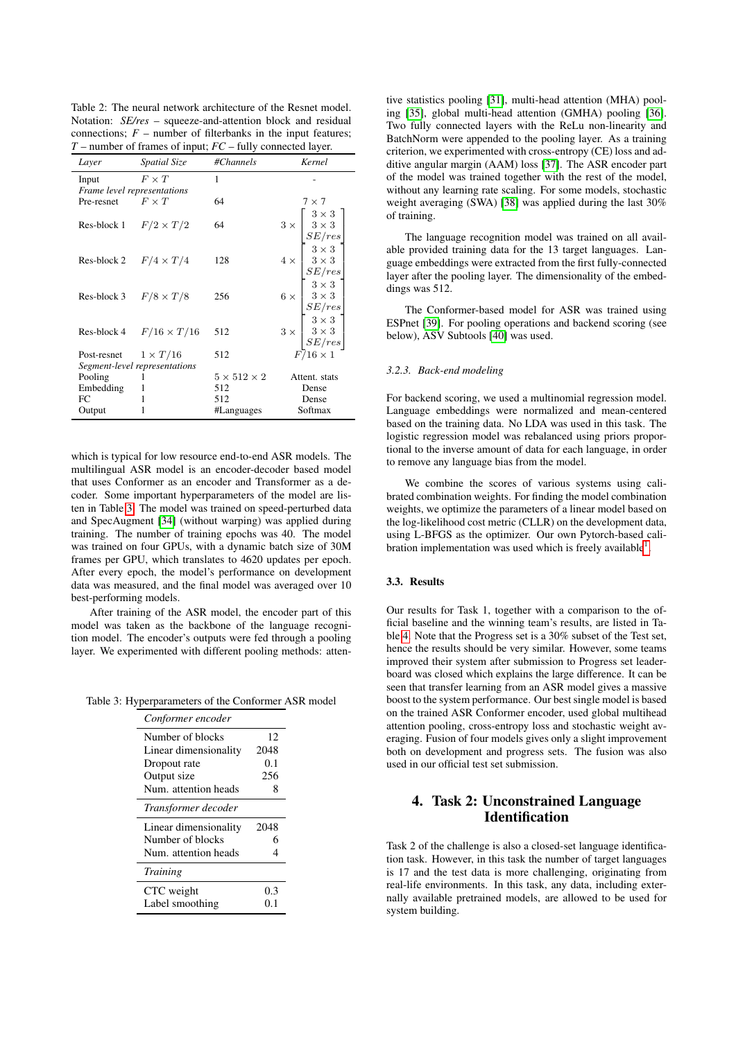<span id="page-2-0"></span>Table 2: The neural network architecture of the Resnet model. Notation: *SE/res* – squeeze-and-attention block and residual connections;  $F$  – number of filterbanks in the input features; *T* – number of frames of input; *FC* – fully connected layer.

| Layer                       | <i>Spatial Size</i>            | #Channels               | Kernel                                                                                                                                                                                                                                                                                                                                                                                                               |
|-----------------------------|--------------------------------|-------------------------|----------------------------------------------------------------------------------------------------------------------------------------------------------------------------------------------------------------------------------------------------------------------------------------------------------------------------------------------------------------------------------------------------------------------|
| Input                       | $F\times T$                    | 1                       |                                                                                                                                                                                                                                                                                                                                                                                                                      |
| Frame level representations |                                |                         |                                                                                                                                                                                                                                                                                                                                                                                                                      |
| Pre-resnet                  | $F \times T$                   | 64                      | $7 \times 7$                                                                                                                                                                                                                                                                                                                                                                                                         |
|                             |                                |                         |                                                                                                                                                                                                                                                                                                                                                                                                                      |
|                             | Res-block 1 $F/2 \times T/2$   | 64                      |                                                                                                                                                                                                                                                                                                                                                                                                                      |
|                             |                                |                         |                                                                                                                                                                                                                                                                                                                                                                                                                      |
|                             |                                |                         |                                                                                                                                                                                                                                                                                                                                                                                                                      |
|                             | Res-block 2 $F/4 \times T/4$   | 128                     |                                                                                                                                                                                                                                                                                                                                                                                                                      |
|                             |                                |                         |                                                                                                                                                                                                                                                                                                                                                                                                                      |
|                             | Res-block 3 $F/8 \times T/8$   | 256                     |                                                                                                                                                                                                                                                                                                                                                                                                                      |
|                             |                                |                         | $4 \times \begin{bmatrix} 2 \times 3 \\ 3 \times 3 \\ SE/res \\ 3 \times 3 \\ 3 \times 3 \\ 3 \times 3 \\ SE/res \\ 6 \times \begin{bmatrix} 3 \times 3 \\ 3 \times 3 \\ 3 \times 3 \\ SE/res \\ 3 \times 3 \\ 3 \times 3 \\ 3 \times 3 \\ 3 \times 3 \\ 3 \times 3 \\ 3 \times 3 \\ 3 \times 3 \\ 3 \times 3 \\ 3 \times 3 \\ 3 \times 3 \\ 3 \times 3 \\ 2 \times 1 \times 3 \\ 2 \times 1 \times 3 \end{bmatrix}$ |
|                             |                                |                         |                                                                                                                                                                                                                                                                                                                                                                                                                      |
|                             | Res-block 4 $F/16 \times T/16$ | 512                     |                                                                                                                                                                                                                                                                                                                                                                                                                      |
|                             |                                |                         |                                                                                                                                                                                                                                                                                                                                                                                                                      |
| Post-resnet $1 \times T/16$ |                                | 512                     | $F/16\times1$                                                                                                                                                                                                                                                                                                                                                                                                        |
|                             | Segment-level representations  |                         |                                                                                                                                                                                                                                                                                                                                                                                                                      |
| Pooling                     |                                | $5 \times 512 \times 2$ | Attent. stats                                                                                                                                                                                                                                                                                                                                                                                                        |
| Embedding                   |                                | 512                     | Dense                                                                                                                                                                                                                                                                                                                                                                                                                |
| FC                          |                                | 512                     | Dense                                                                                                                                                                                                                                                                                                                                                                                                                |
| Output                      |                                | #Languages              | Softmax                                                                                                                                                                                                                                                                                                                                                                                                              |

which is typical for low resource end-to-end ASR models. The multilingual ASR model is an encoder-decoder based model that uses Conformer as an encoder and Transformer as a decoder. Some important hyperparameters of the model are listen in Table [3.](#page-2-1) The model was trained on speed-perturbed data and SpecAugment [\[34\]](#page-7-14) (without warping) was applied during training. The number of training epochs was 40. The model was trained on four GPUs, with a dynamic batch size of 30M frames per GPU, which translates to 4620 updates per epoch. After every epoch, the model's performance on development data was measured, and the final model was averaged over 10 best-performing models.

After training of the ASR model, the encoder part of this model was taken as the backbone of the language recognition model. The encoder's outputs were fed through a pooling layer. We experimented with different pooling methods: atten-

Table 3: Hyperparameters of the Conformer ASR model

<span id="page-2-1"></span>

| Conformer encoder     |      |
|-----------------------|------|
| Number of blocks      | 12   |
| Linear dimensionality | 2048 |
| Dropout rate          | 0.1  |
| Output size           | 256  |
| Num. attention heads  | 8    |
| Transformer decoder   |      |
| Linear dimensionality | 2048 |
| Number of blocks      | 6    |
| Num. attention heads  | 4    |
| <b>Training</b>       |      |
| CTC weight            | 0.3  |
| Label smoothing       | 0.1  |
|                       |      |

tive statistics pooling [\[31\]](#page-7-15), multi-head attention (MHA) pooling [\[35\]](#page-7-16), global multi-head attention (GMHA) pooling [\[36\]](#page-7-17). Two fully connected layers with the ReLu non-linearity and BatchNorm were appended to the pooling layer. As a training criterion, we experimented with cross-entropy (CE) loss and additive angular margin (AAM) loss [\[37\]](#page-7-18). The ASR encoder part of the model was trained together with the rest of the model, without any learning rate scaling. For some models, stochastic weight averaging (SWA) [\[38\]](#page-7-19) was applied during the last 30% of training.

The language recognition model was trained on all available provided training data for the 13 target languages. Language embeddings were extracted from the first fully-connected layer after the pooling layer. The dimensionality of the embeddings was 512.

The Conformer-based model for ASR was trained using ESPnet [\[39\]](#page-7-20). For pooling operations and backend scoring (see below), ASV Subtools [\[40\]](#page-7-21) was used.

# *3.2.3. Back-end modeling*

For backend scoring, we used a multinomial regression model. Language embeddings were normalized and mean-centered based on the training data. No LDA was used in this task. The logistic regression model was rebalanced using priors proportional to the inverse amount of data for each language, in order to remove any language bias from the model.

We combine the scores of various systems using calibrated combination weights. For finding the model combination weights, we optimize the parameters of a linear model based on the log-likelihood cost metric (CLLR) on the development data, using L-BFGS as the optimizer. Our own Pytorch-based cali-bration implementation was used which is freely available<sup>[1](#page-3-0)</sup>.

### 3.3. Results

Our results for Task 1, together with a comparison to the official baseline and the winning team's results, are listed in Table [4.](#page-3-1) Note that the Progress set is a 30% subset of the Test set, hence the results should be very similar. However, some teams improved their system after submission to Progress set leaderboard was closed which explains the large difference. It can be seen that transfer learning from an ASR model gives a massive boost to the system performance. Our best single model is based on the trained ASR Conformer encoder, used global multihead attention pooling, cross-entropy loss and stochastic weight averaging. Fusion of four models gives only a slight improvement both on development and progress sets. The fusion was also used in our official test set submission.

# 4. Task 2: Unconstrained Language **Identification**

Task 2 of the challenge is also a closed-set language identification task. However, in this task the number of target languages is 17 and the test data is more challenging, originating from real-life environments. In this task, any data, including externally available pretrained models, are allowed to be used for system building.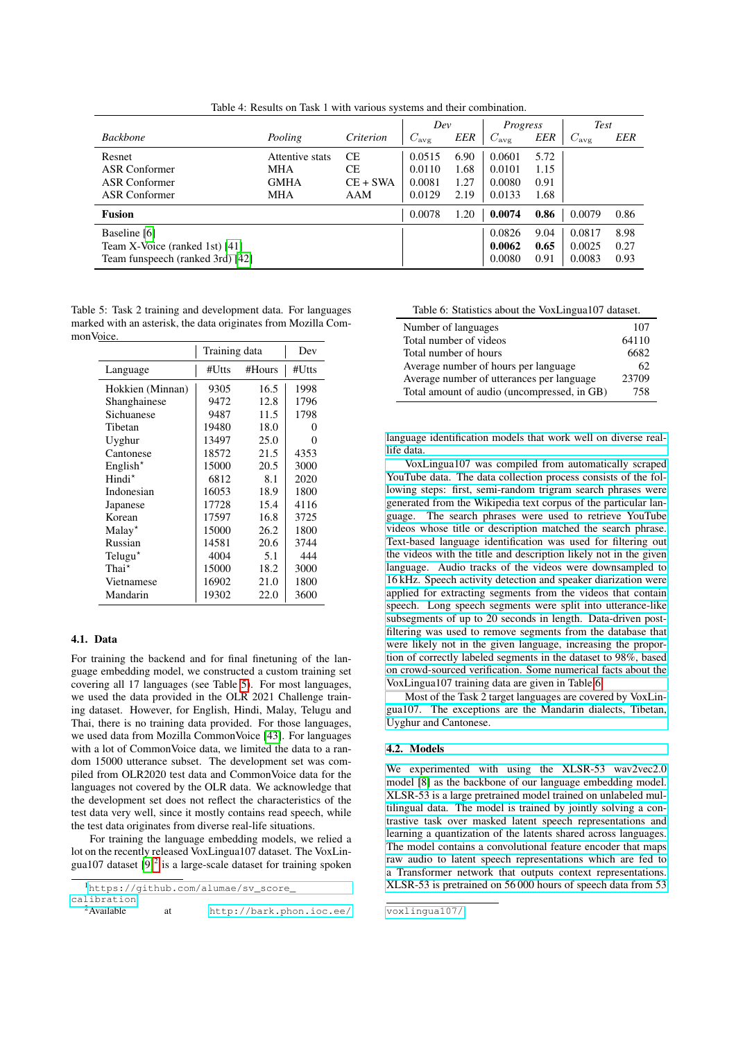|                                                                                    |                                                     |                                      | Dev                                  |                              | Progress                             |                              | <b>Test</b>                |                      |
|------------------------------------------------------------------------------------|-----------------------------------------------------|--------------------------------------|--------------------------------------|------------------------------|--------------------------------------|------------------------------|----------------------------|----------------------|
| <b>Backbone</b>                                                                    | Pooling                                             | Criterion                            | $C_{\rm avg}$                        | EER                          | $C_{\rm avg}$                        | <b>EER</b>                   | $C_{\rm avg}$              | EER                  |
| Resnet<br>ASR Conformer<br><b>ASR</b> Conformer<br>ASR Conformer                   | Attentive stats<br><b>MHA</b><br><b>GMHA</b><br>MHA | <b>CE</b><br>СE<br>$CE + SWA$<br>AAM | 0.0515<br>0.0110<br>0.0081<br>0.0129 | 6.90<br>1.68<br>1.27<br>2.19 | 0.0601<br>0.0101<br>0.0080<br>0.0133 | 5.72<br>1.15<br>0.91<br>1.68 |                            |                      |
| Fusion                                                                             |                                                     |                                      | 0.0078                               | 1.20                         | 0.0074                               | 0.86                         | 0.0079                     | 0.86                 |
| Baseline [6]<br>Team X-Voice (ranked 1st) [41]<br>Team funspeech (ranked 3rd) [42] |                                                     |                                      |                                      |                              | 0.0826<br>0.0062<br>0.0080           | 9.04<br>0.65<br>0.91         | 0.0817<br>0.0025<br>0.0083 | 8.98<br>0.27<br>0.93 |

<span id="page-3-1"></span>Table 4: Results on Task 1 with various systems and their combination.

<span id="page-3-2"></span>Table 5: Task 2 training and development data. For languages marked with an asterisk, the data originates from Mozilla CommonVoice.

|                     |       | Training data |                   |  |  |
|---------------------|-------|---------------|-------------------|--|--|
| Language            | #Utts | #Hours        | #Utts             |  |  |
| Hokkien (Minnan)    | 9305  | 16.5          | 1998              |  |  |
| Shanghainese        | 9472  | 12.8          | 1796              |  |  |
| Sichuanese          | 9487  | 11.5          | 1798              |  |  |
| Tibetan             | 19480 | 18.0          | $\mathbf{\Omega}$ |  |  |
| Uyghur              | 13497 | 25.0          | 0                 |  |  |
| Cantonese           | 18572 | 21.5          | 4353              |  |  |
| English $*$         | 15000 | 20.5          | 3000              |  |  |
| Hindi <sup>*</sup>  | 6812  | 8.1           | 2020              |  |  |
| Indonesian          | 16053 | 18.9          | 1800              |  |  |
| Japanese            | 17728 | 15.4          | 4116              |  |  |
| Korean              | 17597 | 16.8          | 3725              |  |  |
| $Malav^{\star}$     | 15000 | 26.2          | 1800              |  |  |
| Russian             | 14581 | 20.6          | 3744              |  |  |
| Telugu <sup>*</sup> | 4004  | 5.1           | 444               |  |  |
| Thai <sup>*</sup>   | 15000 | 18.2          | 3000              |  |  |
| Vietnamese          | 16902 | 21.0          | 1800              |  |  |
| Mandarin            | 19302 | 22.0          | 3600              |  |  |
|                     |       |               |                   |  |  |

#### 4.1. Data

For training the backend and for final finetuning of the language embedding model, we constructed a custom training set covering all 17 languages (see Table [5\)](#page-3-2). For most languages, we used the data provided in the OLR 2021 Challenge training dataset. However, for English, Hindi, Malay, Telugu and Thai, there is no training data provided. For those languages, we used data from Mozilla CommonVoice [\[43\]](#page-7-24). For languages with a lot of CommonVoice data, we limited the data to a random 15000 utterance subset. The development set was compiled from OLR2020 test data and CommonVoice data for the languages not covered by the OLR data. We acknowledge that the development set does not reflect the characteristics of the test data very well, since it mostly contains read speech, while the test data originates from diverse real-life situations.

For training the language embedding models, we relied a lot on the recently released VoxLingua107 dataset. The VoxLingua107 dataset  $[9]^2$  $[9]^2$  $[9]^2$  is a large-scale dataset for training spoken

<span id="page-3-3"></span><sup>2</sup>Available at [http://bark.phon.ioc.ee/](http://bark.phon.ioc.ee/voxlingua107/)

<span id="page-3-4"></span>Table 6: Statistics about the VoxLingua107 dataset.

| Number of languages                         | 107   |
|---------------------------------------------|-------|
| Total number of videos                      | 64110 |
| Total number of hours                       | 6682  |
| Average number of hours per language        | 62    |
| Average number of utterances per language   | 23709 |
| Total amount of audio (uncompressed, in GB) | 758   |

[language identification models that work well on diverse real](http://bark.phon.ioc.ee/voxlingua107/)[life data.](http://bark.phon.ioc.ee/voxlingua107/)

[VoxLingua107 was compiled from automatically scraped](http://bark.phon.ioc.ee/voxlingua107/) [YouTube data. The data collection process consists of the fol](http://bark.phon.ioc.ee/voxlingua107/)[lowing steps: first, semi-random trigram search phrases were](http://bark.phon.ioc.ee/voxlingua107/) [generated from the Wikipedia text corpus of the particular lan](http://bark.phon.ioc.ee/voxlingua107/)[guage. The search phrases were used to retrieve YouTube](http://bark.phon.ioc.ee/voxlingua107/) [videos whose title or description matched the search phrase.](http://bark.phon.ioc.ee/voxlingua107/) [Text-based language identification was used for filtering out](http://bark.phon.ioc.ee/voxlingua107/) [the videos with the title and description likely not in the given](http://bark.phon.ioc.ee/voxlingua107/) [language. Audio tracks of the videos were downsampled to](http://bark.phon.ioc.ee/voxlingua107/) [16 kHz. Speech activity detection and speaker diarization were](http://bark.phon.ioc.ee/voxlingua107/) [applied for extracting segments from the videos that contain](http://bark.phon.ioc.ee/voxlingua107/) [speech. Long speech segments were split into utterance-like](http://bark.phon.ioc.ee/voxlingua107/) [subsegments of up to 20 seconds in length. Data-driven post](http://bark.phon.ioc.ee/voxlingua107/)[filtering was used to remove segments from the database that](http://bark.phon.ioc.ee/voxlingua107/) [were likely not in the given language, increasing the propor](http://bark.phon.ioc.ee/voxlingua107/)[tion of correctly labeled segments in the dataset to 98%, based](http://bark.phon.ioc.ee/voxlingua107/) [on crowd-sourced verification. Some numerical facts about the](http://bark.phon.ioc.ee/voxlingua107/) [VoxLingua107 training data are given in Table 6.](http://bark.phon.ioc.ee/voxlingua107/)

[Most of the Task 2 target languages are covered by VoxLin](http://bark.phon.ioc.ee/voxlingua107/)[gua107. The exceptions are the Mandarin dialects, Tibetan,](http://bark.phon.ioc.ee/voxlingua107/) [Uyghur and Cantonese.](http://bark.phon.ioc.ee/voxlingua107/)

# [4.2. Models](http://bark.phon.ioc.ee/voxlingua107/)

[We experimented with using the XLSR-53 wav2vec2.0](http://bark.phon.ioc.ee/voxlingua107/) [model \[8\] as the backbone of our language embedding model.](http://bark.phon.ioc.ee/voxlingua107/) [XLSR-53 is a large pretrained model trained on unlabeled mul](http://bark.phon.ioc.ee/voxlingua107/)[tilingual data. The model is trained by jointly solving a con](http://bark.phon.ioc.ee/voxlingua107/)[trastive task over masked latent speech representations and](http://bark.phon.ioc.ee/voxlingua107/) [learning a quantization of the latents shared across languages.](http://bark.phon.ioc.ee/voxlingua107/) [The model contains a convolutional feature encoder that maps](http://bark.phon.ioc.ee/voxlingua107/) [raw audio to latent speech representations which are fed to](http://bark.phon.ioc.ee/voxlingua107/) [a Transformer network that outputs context representations.](http://bark.phon.ioc.ee/voxlingua107/) [XLSR-53 is pretrained on 56 000 hours of speech data from 53](http://bark.phon.ioc.ee/voxlingua107/)

<span id="page-3-0"></span><sup>1</sup>[https://github.com/alumae/sv\\_score\\_](https://github.com/alumae/sv_score_calibration) [calibration](https://github.com/alumae/sv_score_calibration)

[voxlingua107/](http://bark.phon.ioc.ee/voxlingua107/)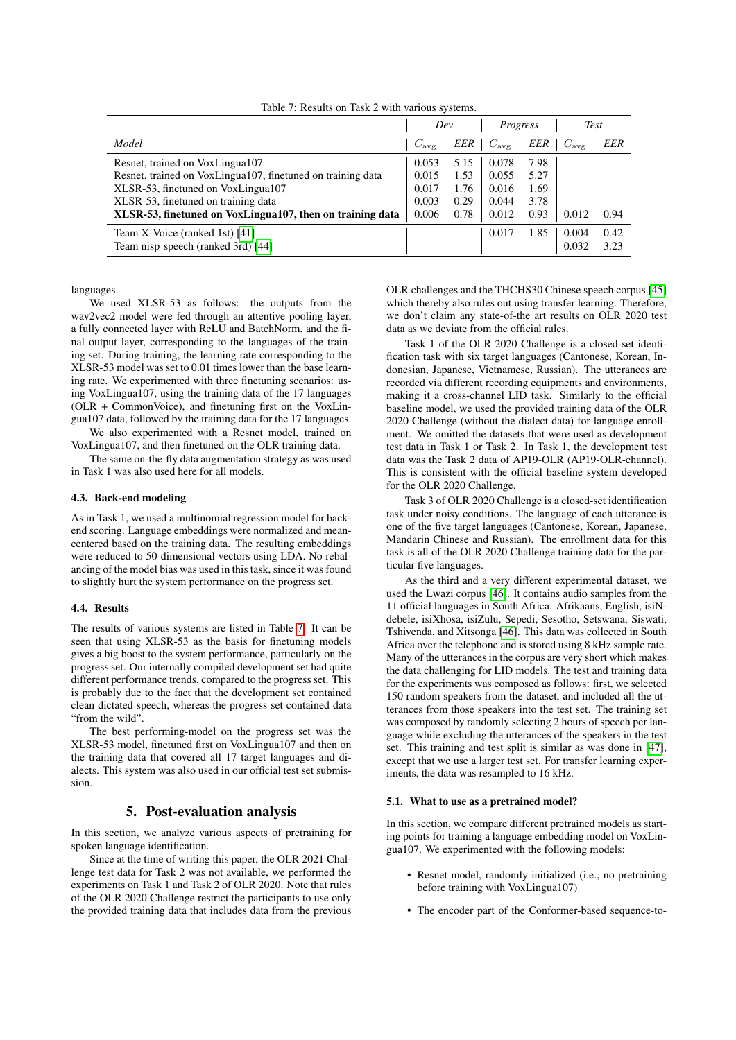|                                                             | Dev           |      | Progress      |      | <b>Test</b>   |            |
|-------------------------------------------------------------|---------------|------|---------------|------|---------------|------------|
| Model                                                       | $C_{\rm ave}$ | EER  | $C_{\rm avg}$ | EER  | $C_{\rm ave}$ | <b>EER</b> |
| Resnet, trained on VoxLingua107                             | 0.053         | 5.15 | 0.078         | 7.98 |               |            |
| Resnet, trained on VoxLingua107, finetuned on training data | 0.015         | 1.53 | 0.055         | 5.27 |               |            |
| XLSR-53, finetuned on VoxLingua107                          | 0.017         | 1.76 | 0.016         | 1.69 |               |            |
| XLSR-53, finetuned on training data                         | 0.003         | 0.29 | 0.044         | 3.78 |               |            |
| XLSR-53, finetuned on VoxLingua107, then on training data   | 0.006         | 0.78 | 0.012         | 0.93 | 0.012         | 0.94       |
| Team X-Voice (ranked 1st) [41]                              |               |      | 0.017         | 1.85 | 0.004         | 0.42       |
| Team nisp_speech (ranked 3rd) [44]                          |               |      |               |      | 0.032         | 3.23       |

<span id="page-4-0"></span>Table 7: Results on Task 2 with various systems.

languages.

We used XLSR-53 as follows: the outputs from the wav2vec2 model were fed through an attentive pooling layer, a fully connected layer with ReLU and BatchNorm, and the final output layer, corresponding to the languages of the training set. During training, the learning rate corresponding to the XLSR-53 model was set to 0.01 times lower than the base learning rate. We experimented with three finetuning scenarios: using VoxLingua107, using the training data of the 17 languages (OLR + CommonVoice), and finetuning first on the VoxLingua107 data, followed by the training data for the 17 languages. We also experimented with a Resnet model, trained on

VoxLingua107, and then finetuned on the OLR training data.

The same on-the-fly data augmentation strategy as was used in Task 1 was also used here for all models.

#### 4.3. Back-end modeling

As in Task 1, we used a multinomial regression model for backend scoring. Language embeddings were normalized and meancentered based on the training data. The resulting embeddings were reduced to 50-dimensional vectors using LDA. No rebalancing of the model bias was used in this task, since it was found to slightly hurt the system performance on the progress set.

#### 4.4. Results

The results of various systems are listed in Table [7.](#page-4-0) It can be seen that using XLSR-53 as the basis for finetuning models gives a big boost to the system performance, particularly on the progress set. Our internally compiled development set had quite different performance trends, compared to the progress set. This is probably due to the fact that the development set contained clean dictated speech, whereas the progress set contained data "from the wild".

The best performing-model on the progress set was the XLSR-53 model, finetuned first on VoxLingua107 and then on the training data that covered all 17 target languages and dialects. This system was also used in our official test set submission.

# 5. Post-evaluation analysis

In this section, we analyze various aspects of pretraining for spoken language identification.

Since at the time of writing this paper, the OLR 2021 Challenge test data for Task 2 was not available, we performed the experiments on Task 1 and Task 2 of OLR 2020. Note that rules of the OLR 2020 Challenge restrict the participants to use only the provided training data that includes data from the previous OLR challenges and the THCHS30 Chinese speech corpus [\[45\]](#page-7-26) which thereby also rules out using transfer learning. Therefore, we don't claim any state-of-the art results on OLR 2020 test data as we deviate from the official rules.

Task 1 of the OLR 2020 Challenge is a closed-set identification task with six target languages (Cantonese, Korean, Indonesian, Japanese, Vietnamese, Russian). The utterances are recorded via different recording equipments and environments, making it a cross-channel LID task. Similarly to the official baseline model, we used the provided training data of the OLR 2020 Challenge (without the dialect data) for language enrollment. We omitted the datasets that were used as development test data in Task 1 or Task 2. In Task 1, the development test data was the Task 2 data of AP19-OLR (AP19-OLR-channel). This is consistent with the official baseline system developed for the OLR 2020 Challenge.

Task 3 of OLR 2020 Challenge is a closed-set identification task under noisy conditions. The language of each utterance is one of the five target languages (Cantonese, Korean, Japanese, Mandarin Chinese and Russian). The enrollment data for this task is all of the OLR 2020 Challenge training data for the particular five languages.

As the third and a very different experimental dataset, we used the Lwazi corpus [\[46\]](#page-7-27). It contains audio samples from the 11 official languages in South Africa: Afrikaans, English, isiNdebele, isiXhosa, isiZulu, Sepedi, Sesotho, Setswana, Siswati, Tshivenda, and Xitsonga [\[46\]](#page-7-27). This data was collected in South Africa over the telephone and is stored using 8 kHz sample rate. Many of the utterances in the corpus are very short which makes the data challenging for LID models. The test and training data for the experiments was composed as follows: first, we selected 150 random speakers from the dataset, and included all the utterances from those speakers into the test set. The training set was composed by randomly selecting 2 hours of speech per language while excluding the utterances of the speakers in the test set. This training and test split is similar as was done in [\[47\]](#page-7-28), except that we use a larger test set. For transfer learning experiments, the data was resampled to 16 kHz.

### 5.1. What to use as a pretrained model?

In this section, we compare different pretrained models as starting points for training a language embedding model on VoxLingua107. We experimented with the following models:

- Resnet model, randomly initialized (i.e., no pretraining before training with VoxLingua107)
- The encoder part of the Conformer-based sequence-to-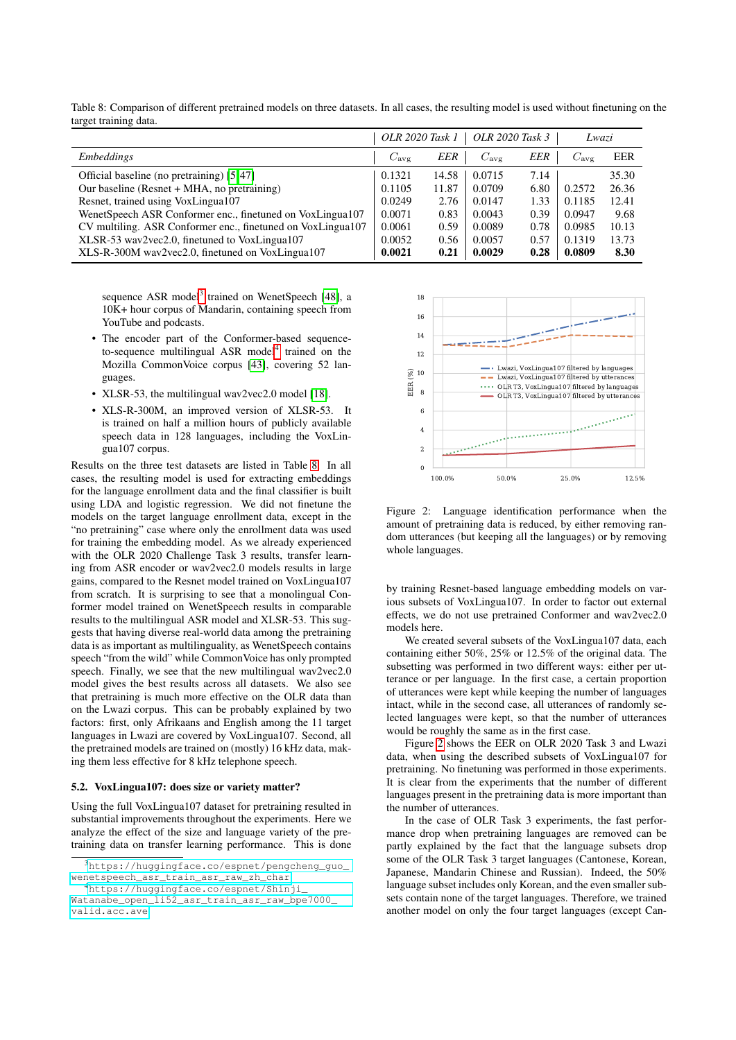| ັ<br>ັ                                                      | OLR 2020 Task 1 |       | OLR 2020 Task 3 |            | Lwazi         |       |
|-------------------------------------------------------------|-----------------|-------|-----------------|------------|---------------|-------|
| <b>Embeddings</b>                                           | $C_{\rm avg}$   | EER   | $C_{\rm avg}$   | <b>EER</b> | $C_{\rm avg}$ | EER   |
| Official baseline (no pretraining) [5,47]                   | 0.1321          | 14.58 | 0.0715          | 7.14       |               | 35.30 |
| Our baseline (Resnet + MHA, no pretraining)                 | 0.1105          | 11.87 | 0.0709          | 6.80       | 0.2572        | 26.36 |
| Resnet, trained using VoxLingua107                          | 0.0249          | 2.76  | 0.0147          | 1.33       | 0.1185        | 12.41 |
| WenetSpeech ASR Conformer enc., finetuned on VoxLingua107   | 0.0071          | 0.83  | 0.0043          | 0.39       | 0.0947        | 9.68  |
| CV multiling. ASR Conformer enc., finetuned on VoxLingua107 | 0.0061          | 0.59  | 0.0089          | 0.78       | 0.0985        | 10.13 |
| XLSR-53 wav2vec2.0, finetuned to VoxLingua107               | 0.0052          | 0.56  | 0.0057          | 0.57       | 0.1319        | 13.73 |
| XLS-R-300M wav2vec2.0, finetuned on VoxLingua107            | 0.0021          | 0.21  | 0.0029          | 0.28       | 0.0809        | 8.30  |

<span id="page-5-2"></span>Table 8: Comparison of different pretrained models on three datasets. In all cases, the resulting model is used without finetuning on the target training data.

sequence ASR model<sup>[3](#page-5-0)</sup> trained on WenetSpeech [\[48\]](#page-7-29), a 10K+ hour corpus of Mandarin, containing speech from YouTube and podcasts.

- The encoder part of the Conformer-based sequence-to-sequence multilingual ASR model<sup>[4](#page-5-1)</sup> trained on the Mozilla CommonVoice corpus [\[43\]](#page-7-24), covering 52 languages.
- XLSR-53, the multilingual wav2vec2.0 model [\[18\]](#page-7-0).
- XLS-R-300M, an improved version of XLSR-53. It is trained on half a million hours of publicly available speech data in 128 languages, including the VoxLingua107 corpus.

Results on the three test datasets are listed in Table [8.](#page-5-2) In all cases, the resulting model is used for extracting embeddings for the language enrollment data and the final classifier is built using LDA and logistic regression. We did not finetune the models on the target language enrollment data, except in the "no pretraining" case where only the enrollment data was used for training the embedding model. As we already experienced with the OLR 2020 Challenge Task 3 results, transfer learning from ASR encoder or wav2vec2.0 models results in large gains, compared to the Resnet model trained on VoxLingua107 from scratch. It is surprising to see that a monolingual Conformer model trained on WenetSpeech results in comparable results to the multilingual ASR model and XLSR-53. This suggests that having diverse real-world data among the pretraining data is as important as multilinguality, as WenetSpeech contains speech "from the wild" while CommonVoice has only prompted speech. Finally, we see that the new multilingual wav2vec2.0 model gives the best results across all datasets. We also see that pretraining is much more effective on the OLR data than on the Lwazi corpus. This can be probably explained by two factors: first, only Afrikaans and English among the 11 target languages in Lwazi are covered by VoxLingua107. Second, all the pretrained models are trained on (mostly) 16 kHz data, making them less effective for 8 kHz telephone speech.

#### 5.2. VoxLingua107: does size or variety matter?

Using the full VoxLingua107 dataset for pretraining resulted in substantial improvements throughout the experiments. Here we analyze the effect of the size and language variety of the pretraining data on transfer learning performance. This is done



<span id="page-5-3"></span>Figure 2: Language identification performance when the amount of pretraining data is reduced, by either removing random utterances (but keeping all the languages) or by removing whole languages.

by training Resnet-based language embedding models on various subsets of VoxLingua107. In order to factor out external effects, we do not use pretrained Conformer and wav2vec2.0 models here.

We created several subsets of the VoxLingua107 data, each containing either 50%, 25% or 12.5% of the original data. The subsetting was performed in two different ways: either per utterance or per language. In the first case, a certain proportion of utterances were kept while keeping the number of languages intact, while in the second case, all utterances of randomly selected languages were kept, so that the number of utterances would be roughly the same as in the first case.

Figure [2](#page-5-3) shows the EER on OLR 2020 Task 3 and Lwazi data, when using the described subsets of VoxLingua107 for pretraining. No finetuning was performed in those experiments. It is clear from the experiments that the number of different languages present in the pretraining data is more important than the number of utterances.

In the case of OLR Task 3 experiments, the fast performance drop when pretraining languages are removed can be partly explained by the fact that the language subsets drop some of the OLR Task 3 target languages (Cantonese, Korean, Japanese, Mandarin Chinese and Russian). Indeed, the 50% language subset includes only Korean, and the even smaller subsets contain none of the target languages. Therefore, we trained another model on only the four target languages (except Can-

<span id="page-5-0"></span><sup>3</sup>[https://huggingface.co/espnet/pengcheng\\_guo\\_](https://huggingface.co/espnet/pengcheng_guo_wenetspeech_asr_train_asr_raw_zh_char) [wenetspeech\\_asr\\_train\\_asr\\_raw\\_zh\\_char](https://huggingface.co/espnet/pengcheng_guo_wenetspeech_asr_train_asr_raw_zh_char)

<span id="page-5-1"></span><sup>4</sup>[https://huggingface.co/espnet/Shinji\\_](https://huggingface.co/espnet/Shinji_Watanabe_open_li52_asr_train_asr_raw_bpe7000_valid.acc.ave)

[Watanabe\\_open\\_li52\\_asr\\_train\\_asr\\_raw\\_bpe7000\\_](https://huggingface.co/espnet/Shinji_Watanabe_open_li52_asr_train_asr_raw_bpe7000_valid.acc.ave) [valid.acc.ave](https://huggingface.co/espnet/Shinji_Watanabe_open_li52_asr_train_asr_raw_bpe7000_valid.acc.ave)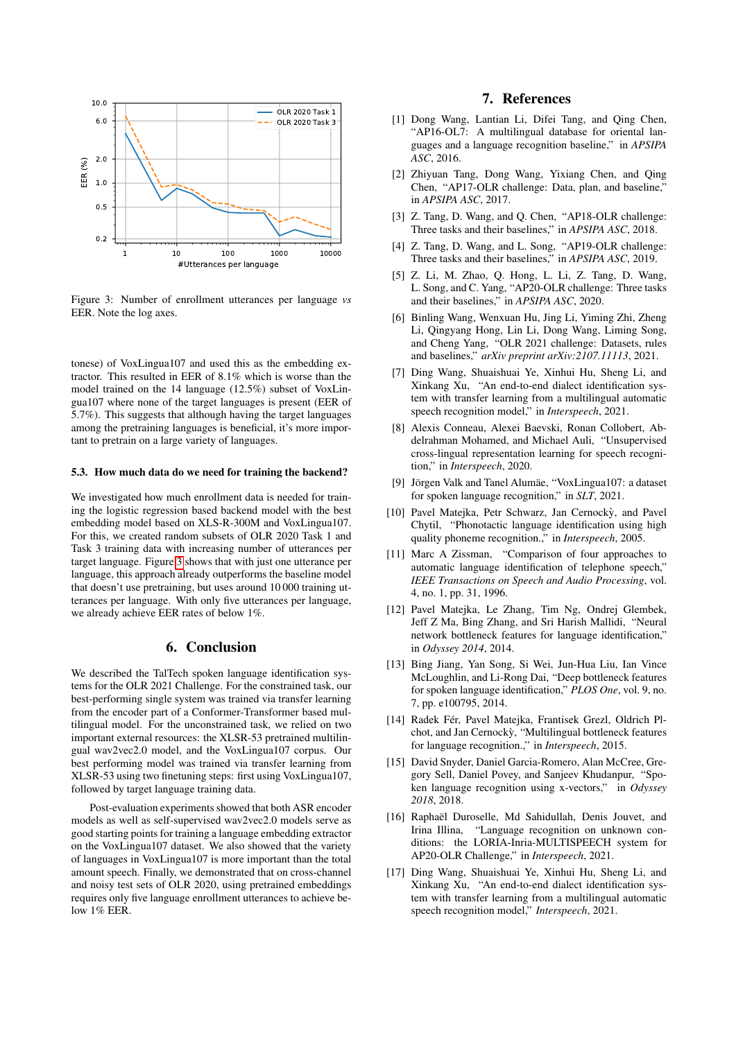

<span id="page-6-13"></span>Figure 3: Number of enrollment utterances per language *vs* EER. Note the log axes.

tonese) of VoxLingua107 and used this as the embedding extractor. This resulted in EER of 8.1% which is worse than the model trained on the 14 language (12.5%) subset of VoxLingua107 where none of the target languages is present (EER of 5.7%). This suggests that although having the target languages among the pretraining languages is beneficial, it's more important to pretrain on a large variety of languages.

# 5.3. How much data do we need for training the backend?

We investigated how much enrollment data is needed for training the logistic regression based backend model with the best embedding model based on XLS-R-300M and VoxLingua107. For this, we created random subsets of OLR 2020 Task 1 and Task 3 training data with increasing number of utterances per target language. Figure [3](#page-6-13) shows that with just one utterance per language, this approach already outperforms the baseline model that doesn't use pretraining, but uses around 10 000 training utterances per language. With only five utterances per language, we already achieve EER rates of below 1%.

# 6. Conclusion

We described the TalTech spoken language identification systems for the OLR 2021 Challenge. For the constrained task, our best-performing single system was trained via transfer learning from the encoder part of a Conformer-Transformer based multilingual model. For the unconstrained task, we relied on two important external resources: the XLSR-53 pretrained multilingual wav2vec2.0 model, and the VoxLingua107 corpus. Our best performing model was trained via transfer learning from XLSR-53 using two finetuning steps: first using VoxLingua107, followed by target language training data.

Post-evaluation experiments showed that both ASR encoder models as well as self-supervised wav2vec2.0 models serve as good starting points for training a language embedding extractor on the VoxLingua107 dataset. We also showed that the variety of languages in VoxLingua107 is more important than the total amount speech. Finally, we demonstrated that on cross-channel and noisy test sets of OLR 2020, using pretrained embeddings requires only five language enrollment utterances to achieve below 1% EER.

# 7. References

- <span id="page-6-0"></span>[1] Dong Wang, Lantian Li, Difei Tang, and Qing Chen, "AP16-OL7: A multilingual database for oriental languages and a language recognition baseline," in *APSIPA ASC*, 2016.
- [2] Zhiyuan Tang, Dong Wang, Yixiang Chen, and Qing Chen, "AP17-OLR challenge: Data, plan, and baseline," in *APSIPA ASC*, 2017.
- [3] Z. Tang, D. Wang, and Q. Chen, "AP18-OLR challenge: Three tasks and their baselines," in *APSIPA ASC*, 2018.
- [4] Z. Tang, D. Wang, and L. Song, "AP19-OLR challenge: Three tasks and their baselines," in *APSIPA ASC*, 2019.
- <span id="page-6-1"></span>[5] Z. Li, M. Zhao, Q. Hong, L. Li, Z. Tang, D. Wang, L. Song, and C. Yang, "AP20-OLR challenge: Three tasks and their baselines," in *APSIPA ASC*, 2020.
- <span id="page-6-2"></span>[6] Binling Wang, Wenxuan Hu, Jing Li, Yiming Zhi, Zheng Li, Qingyang Hong, Lin Li, Dong Wang, Liming Song, and Cheng Yang, "OLR 2021 challenge: Datasets, rules and baselines," *arXiv preprint arXiv:2107.11113*, 2021.
- <span id="page-6-3"></span>[7] Ding Wang, Shuaishuai Ye, Xinhui Hu, Sheng Li, and Xinkang Xu, "An end-to-end dialect identification system with transfer learning from a multilingual automatic speech recognition model," in *Interspeech*, 2021.
- <span id="page-6-4"></span>[8] Alexis Conneau, Alexei Baevski, Ronan Collobert, Abdelrahman Mohamed, and Michael Auli, "Unsupervised cross-lingual representation learning for speech recognition," in *Interspeech*, 2020.
- <span id="page-6-5"></span>[9] Jörgen Valk and Tanel Alumäe, "VoxLingua107: a dataset for spoken language recognition," in *SLT*, 2021.
- <span id="page-6-6"></span>[10] Pavel Matejka, Petr Schwarz, Jan Cernockỳ, and Pavel Chytil, "Phonotactic language identification using high quality phoneme recognition.," in *Interspeech*, 2005.
- <span id="page-6-7"></span>[11] Marc A Zissman, "Comparison of four approaches to automatic language identification of telephone speech," *IEEE Transactions on Speech and Audio Processing*, vol. 4, no. 1, pp. 31, 1996.
- <span id="page-6-8"></span>[12] Pavel Matejka, Le Zhang, Tim Ng, Ondrej Glembek, Jeff Z Ma, Bing Zhang, and Sri Harish Mallidi, "Neural network bottleneck features for language identification," in *Odyssey 2014*, 2014.
- [13] Bing Jiang, Yan Song, Si Wei, Jun-Hua Liu, Ian Vince McLoughlin, and Li-Rong Dai, "Deep bottleneck features for spoken language identification," *PLOS One*, vol. 9, no. 7, pp. e100795, 2014.
- <span id="page-6-9"></span>[14] Radek Fér, Pavel Matejka, Frantisek Grezl, Oldrich Plchot, and Jan Cernocky, "Multilingual bottleneck features ` for language recognition.," in *Interspeech*, 2015.
- <span id="page-6-10"></span>[15] David Snyder, Daniel Garcia-Romero, Alan McCree, Gregory Sell, Daniel Povey, and Sanjeev Khudanpur, "Spoken language recognition using x-vectors," in *Odyssey 2018*, 2018.
- <span id="page-6-11"></span>[16] Raphaël Duroselle, Md Sahidullah, Denis Jouvet, and Irina Illina, "Language recognition on unknown conditions: the LORIA-Inria-MULTISPEECH system for AP20-OLR Challenge," in *Interspeech*, 2021.
- <span id="page-6-12"></span>[17] Ding Wang, Shuaishuai Ye, Xinhui Hu, Sheng Li, and Xinkang Xu, "An end-to-end dialect identification system with transfer learning from a multilingual automatic speech recognition model," *Interspeech*, 2021.